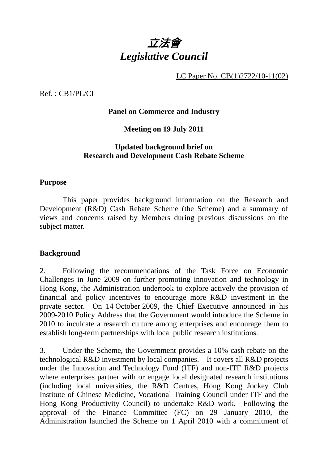

LC Paper No. CB(1)2722/10-11(02)

Ref. : CB1/PL/CI

# **Panel on Commerce and Industry**

# **Meeting on 19 July 2011**

# **Updated background brief on Research and Development Cash Rebate Scheme**

## **Purpose**

 This paper provides background information on the Research and Development (R&D) Cash Rebate Scheme (the Scheme) and a summary of views and concerns raised by Members during previous discussions on the subject matter.

# **Background**

2. Following the recommendations of the Task Force on Economic Challenges in June 2009 on further promoting innovation and technology in Hong Kong, the Administration undertook to explore actively the provision of financial and policy incentives to encourage more R&D investment in the private sector. On 14 October 2009, the Chief Executive announced in his 2009-2010 Policy Address that the Government would introduce the Scheme in 2010 to inculcate a research culture among enterprises and encourage them to establish long-term partnerships with local public research institutions.

3. Under the Scheme, the Government provides a 10% cash rebate on the technological R&D investment by local companies. It covers all R&D projects under the Innovation and Technology Fund (ITF) and non-ITF R&D projects where enterprises partner with or engage local designated research institutions (including local universities, the R&D Centres, Hong Kong Jockey Club Institute of Chinese Medicine, Vocational Training Council under ITF and the Hong Kong Productivity Council) to undertake R&D work. Following the approval of the Finance Committee (FC) on 29 January 2010, the Administration launched the Scheme on 1 April 2010 with a commitment of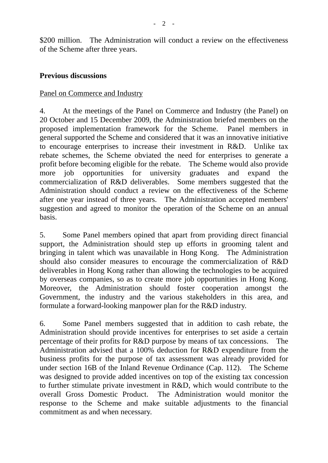\$200 million. The Administration will conduct a review on the effectiveness of the Scheme after three years.

# **Previous discussions**

### Panel on Commerce and Industry

4. At the meetings of the Panel on Commerce and Industry (the Panel) on 20 October and 15 December 2009, the Administration briefed members on the proposed implementation framework for the Scheme. Panel members in general supported the Scheme and considered that it was an innovative initiative to encourage enterprises to increase their investment in R&D. Unlike tax rebate schemes, the Scheme obviated the need for enterprises to generate a profit before becoming eligible for the rebate. The Scheme would also provide more job opportunities for university graduates and expand the commercialization of R&D deliverables. Some members suggested that the Administration should conduct a review on the effectiveness of the Scheme after one year instead of three years. The Administration accepted members' suggestion and agreed to monitor the operation of the Scheme on an annual basis.

5. Some Panel members opined that apart from providing direct financial support, the Administration should step up efforts in grooming talent and bringing in talent which was unavailable in Hong Kong. The Administration should also consider measures to encourage the commercialization of R&D deliverables in Hong Kong rather than allowing the technologies to be acquired by overseas companies, so as to create more job opportunities in Hong Kong. Moreover, the Administration should foster cooperation amongst the Government, the industry and the various stakeholders in this area, and formulate a forward-looking manpower plan for the R&D industry.

6. Some Panel members suggested that in addition to cash rebate, the Administration should provide incentives for enterprises to set aside a certain percentage of their profits for R&D purpose by means of tax concessions. The Administration advised that a 100% deduction for R&D expenditure from the business profits for the purpose of tax assessment was already provided for under section 16B of the Inland Revenue Ordinance (Cap. 112). The Scheme was designed to provide added incentives on top of the existing tax concession to further stimulate private investment in R&D, which would contribute to the overall Gross Domestic Product. The Administration would monitor the response to the Scheme and make suitable adjustments to the financial commitment as and when necessary.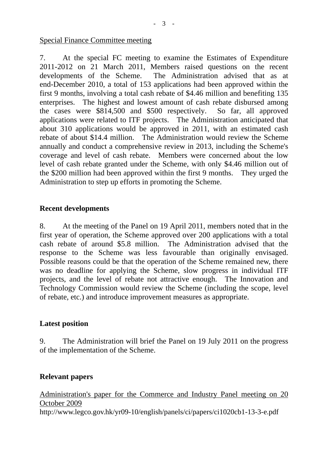### Special Finance Committee meeting

7. At the special FC meeting to examine the Estimates of Expenditure 2011-2012 on 21 March 2011, Members raised questions on the recent developments of the Scheme. The Administration advised that as at end-December 2010, a total of 153 applications had been approved within the first 9 months, involving a total cash rebate of \$4.46 million and benefiting 135 enterprises. The highest and lowest amount of cash rebate disbursed among the cases were \$814,500 and \$500 respectively. So far, all approved applications were related to ITF projects. The Administration anticipated that about 310 applications would be approved in 2011, with an estimated cash rebate of about \$14.4 million. The Administration would review the Scheme annually and conduct a comprehensive review in 2013, including the Scheme's coverage and level of cash rebate. Members were concerned about the low level of cash rebate granted under the Scheme, with only \$4.46 million out of the \$200 million had been approved within the first 9 months. They urged the Administration to step up efforts in promoting the Scheme.

### **Recent developments**

8. At the meeting of the Panel on 19 April 2011, members noted that in the first year of operation, the Scheme approved over 200 applications with a total cash rebate of around \$5.8 million. The Administration advised that the response to the Scheme was less favourable than originally envisaged. Possible reasons could be that the operation of the Scheme remained new, there was no deadline for applying the Scheme, slow progress in individual ITF projects, and the level of rebate not attractive enough. The Innovation and Technology Commission would review the Scheme (including the scope, level of rebate, etc.) and introduce improvement measures as appropriate.

### **Latest position**

9. The Administration will brief the Panel on 19 July 2011 on the progress of the implementation of the Scheme.

# **Relevant papers**

Administration's paper for the Commerce and Industry Panel meeting on 20 October 2009 http://www.legco.gov.hk/yr09-10/english/panels/ci/papers/ci1020cb1-13-3-e.pdf